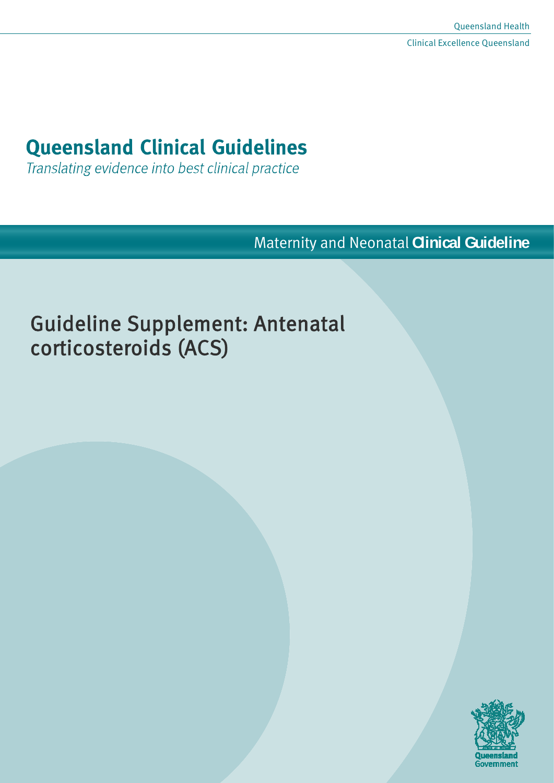# **Queensland Clinical Guidelines**

Translating evidence into best clinical practice

Maternity and Neonatal **Clinical Guideline**

# Guideline Supplement: Antenatal corticosteroids (ACS)

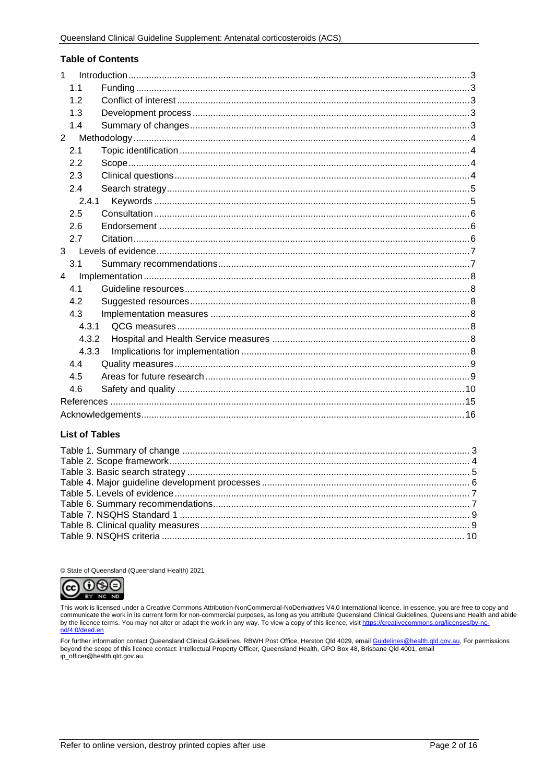#### **Table of Contents**

| $\mathbf{1}$   |  |  |  |  |
|----------------|--|--|--|--|
| 1.1            |  |  |  |  |
| 1.2            |  |  |  |  |
| 1.3            |  |  |  |  |
| 1.4            |  |  |  |  |
| $\overline{2}$ |  |  |  |  |
| 2.1            |  |  |  |  |
| 2.2            |  |  |  |  |
| 2.3            |  |  |  |  |
| 2.4            |  |  |  |  |
| 2.4.1          |  |  |  |  |
| 2.5            |  |  |  |  |
| 2.6            |  |  |  |  |
| 2.7            |  |  |  |  |
| 3 <sup>1</sup> |  |  |  |  |
| 3.1            |  |  |  |  |
| 4              |  |  |  |  |
| 4.1            |  |  |  |  |
| 4.2            |  |  |  |  |
| 4.3            |  |  |  |  |
| 4.3.1          |  |  |  |  |
| 4.3.2          |  |  |  |  |
| 4.3.3          |  |  |  |  |
| 4.4            |  |  |  |  |
| 4.5            |  |  |  |  |
| 4.6            |  |  |  |  |
|                |  |  |  |  |
|                |  |  |  |  |

## **List of Tables**

© State of Queensland (Queensland Health) 2021



This work is licensed under a Creative Commons Attribution-NonCommercial-NoDerivatives V4.0 International licence. In essence, you are free to copy and communicate the work in its current form for non-commercial purposes, as long as you attribute Queensland Clinical Guidelines, Queensland Health and abide<br>by the licence terms. You may not alter or adapt the work in any wa

For further information contact Queensland Clinical Guidelines, RBWH Post Office, Herston Qld 4029, email Guidelines@health.qld.gov.au, For permissions beyond the scope of this licence contact: Intellectual Property Officer, Queensland Health, GPO Box 48, Brisbane Qld 4001, email ip\_officer@health.qld.gov.au.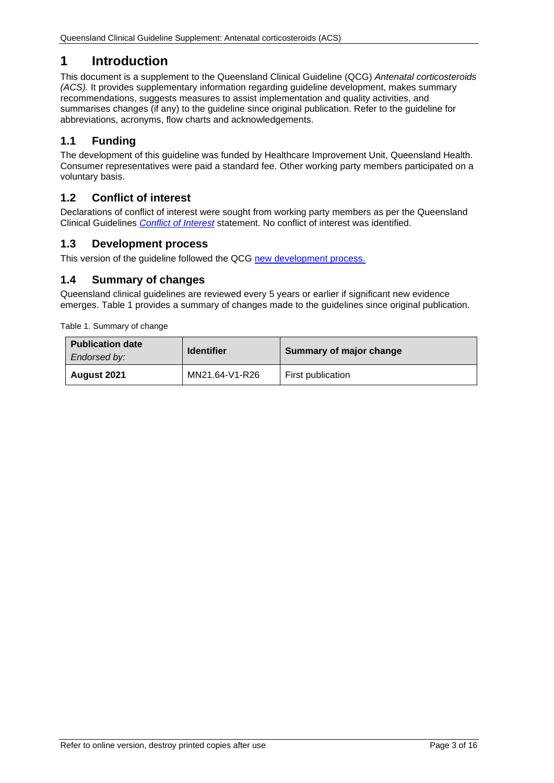# <span id="page-2-0"></span>**1 Introduction**

This document is a supplement to the Queensland Clinical Guideline (QCG) *Antenatal corticosteroids (ACS).* It provides supplementary information regarding guideline development, makes summary recommendations, suggests measures to assist implementation and quality activities, and summarises changes (if any) to the guideline since original publication. Refer to the guideline for abbreviations, acronyms, flow charts and acknowledgements.

# <span id="page-2-1"></span>**1.1 Funding**

The development of this guideline was funded by Healthcare Improvement Unit, Queensland Health. Consumer representatives were paid a standard fee. Other working party members participated on a voluntary basis.

## <span id="page-2-2"></span>**1.2 Conflict of interest**

Declarations of conflict of interest were sought from working party members as per the Queensland Clinical Guidelines *[Conflict of Interest](http://www.health.qld.gov.au/qcg/development#coi)* statement. No conflict of interest was identified.

## <span id="page-2-3"></span>**1.3 Development process**

This version of the guideline followed the QCG [new development process.](https://www.health.qld.gov.au/__data/assets/pdf_file/0025/364723/o-developprocess.pdf)

## <span id="page-2-4"></span>**1.4 Summary of changes**

Queensland clinical guidelines are reviewed every 5 years or earlier if significant new evidence emerges. [Table 1](#page-2-5) provides a summary of changes made to the guidelines since original publication.

<span id="page-2-5"></span>Table 1. Summary of change

| <b>Publication date</b><br>Endorsed by: | <b>Identifier</b> | Summary of major change |
|-----------------------------------------|-------------------|-------------------------|
| August 2021                             | MN21.64-V1-R26    | First publication       |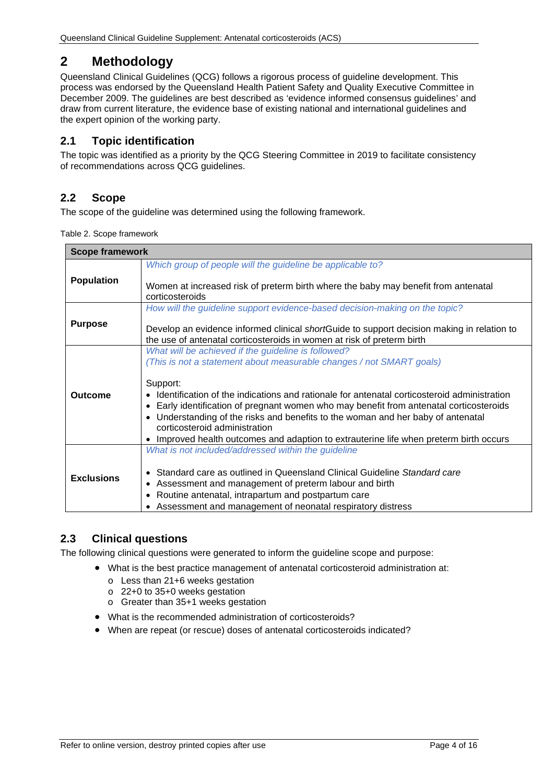# <span id="page-3-0"></span>**2 Methodology**

Queensland Clinical Guidelines (QCG) follows a rigorous process of guideline development. This process was endorsed by the Queensland Health Patient Safety and Quality Executive Committee in December 2009. The guidelines are best described as 'evidence informed consensus guidelines' and draw from current literature, the evidence base of existing national and international guidelines and the expert opinion of the working party.

# <span id="page-3-1"></span>**2.1 Topic identification**

The topic was identified as a priority by the QCG Steering Committee in 2019 to facilitate consistency of recommendations across QCG guidelines.

# <span id="page-3-2"></span>**2.2 Scope**

<span id="page-3-4"></span>The scope of the guideline was determined using the following framework.

Table 2. Scope framework

| <b>Scope framework</b> |                                                                                                                                                                      |  |
|------------------------|----------------------------------------------------------------------------------------------------------------------------------------------------------------------|--|
|                        | Which group of people will the guideline be applicable to?                                                                                                           |  |
| <b>Population</b>      | Women at increased risk of preterm birth where the baby may benefit from antenatal<br>corticosteroids                                                                |  |
|                        | How will the guideline support evidence-based decision-making on the topic?                                                                                          |  |
| <b>Purpose</b>         | Develop an evidence informed clinical shortGuide to support decision making in relation to<br>the use of antenatal corticosteroids in women at risk of preterm birth |  |
|                        | What will be achieved if the guideline is followed?                                                                                                                  |  |
|                        | (This is not a statement about measurable changes / not SMART goals)                                                                                                 |  |
|                        | Support:                                                                                                                                                             |  |
| Outcome                | Identification of the indications and rationale for antenatal corticosteroid administration                                                                          |  |
|                        | Early identification of pregnant women who may benefit from antenatal corticosteroids                                                                                |  |
|                        | Understanding of the risks and benefits to the woman and her baby of antenatal<br>corticosteroid administration                                                      |  |
|                        | Improved health outcomes and adaption to extrauterine life when preterm birth occurs                                                                                 |  |
|                        | What is not included/addressed within the guideline                                                                                                                  |  |
|                        | • Standard care as outlined in Queensland Clinical Guideline Standard care                                                                                           |  |
| <b>Exclusions</b>      | Assessment and management of preterm labour and birth<br>$\bullet$                                                                                                   |  |
|                        | Routine antenatal, intrapartum and postpartum care<br>$\bullet$                                                                                                      |  |
|                        | Assessment and management of neonatal respiratory distress                                                                                                           |  |

## <span id="page-3-3"></span>**2.3 Clinical questions**

The following clinical questions were generated to inform the guideline scope and purpose:

- What is the best practice management of antenatal corticosteroid administration at:
	- o Less than 21+6 weeks gestation
	- o 22+0 to 35+0 weeks gestation
	- o Greater than 35+1 weeks gestation
- What is the recommended administration of corticosteroids?
- When are repeat (or rescue) doses of antenatal corticosteroids indicated?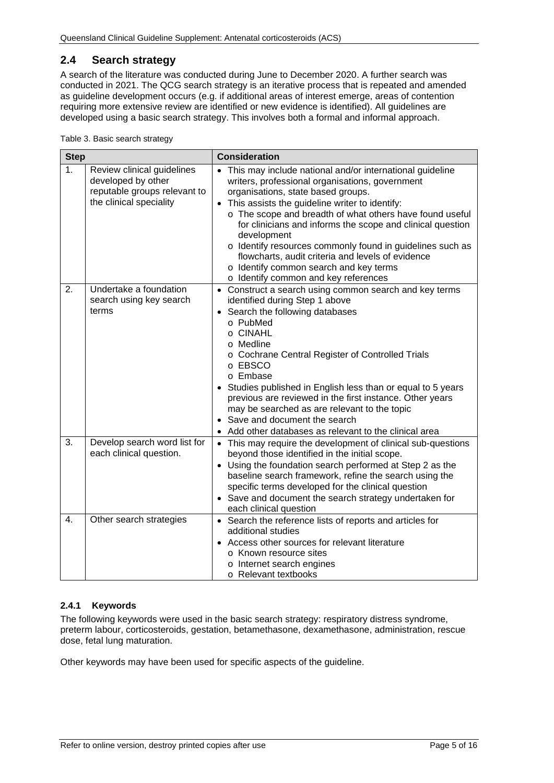# <span id="page-4-0"></span>**2.4 Search strategy**

A search of the literature was conducted during June to December 2020. A further search was conducted in 2021. The QCG search strategy is an iterative process that is repeated and amended as guideline development occurs (e.g. if additional areas of interest emerge, areas of contention requiring more extensive review are identified or new evidence is identified). All guidelines are developed using a basic search strategy. This involves both a formal and informal approach.

<span id="page-4-2"></span>Table 3. Basic search strategy

| <b>Step</b> |                                                                                                             | <b>Consideration</b>                                                                                                                                                                                                                                                                                                                                                                                                                                                                                                                                                       |  |
|-------------|-------------------------------------------------------------------------------------------------------------|----------------------------------------------------------------------------------------------------------------------------------------------------------------------------------------------------------------------------------------------------------------------------------------------------------------------------------------------------------------------------------------------------------------------------------------------------------------------------------------------------------------------------------------------------------------------------|--|
| 1.          | Review clinical guidelines<br>developed by other<br>reputable groups relevant to<br>the clinical speciality | This may include national and/or international guideline<br>$\bullet$<br>writers, professional organisations, government<br>organisations, state based groups.<br>This assists the guideline writer to identify:<br>$\bullet$<br>o The scope and breadth of what others have found useful<br>for clinicians and informs the scope and clinical question<br>development<br>o Identify resources commonly found in guidelines such as<br>flowcharts, audit criteria and levels of evidence<br>o Identify common search and key terms<br>o Identify common and key references |  |
| 2.          | Undertake a foundation<br>search using key search<br>terms                                                  | • Construct a search using common search and key terms<br>identified during Step 1 above<br>Search the following databases<br>o PubMed<br>o CINAHL<br>o Medline<br>o Cochrane Central Register of Controlled Trials<br>o EBSCO<br>o Embase<br>Studies published in English less than or equal to 5 years<br>previous are reviewed in the first instance. Other years<br>may be searched as are relevant to the topic<br>• Save and document the search<br>Add other databases as relevant to the clinical area                                                             |  |
| 3.          | Develop search word list for<br>each clinical question.                                                     | • This may require the development of clinical sub-questions<br>beyond those identified in the initial scope.<br>• Using the foundation search performed at Step 2 as the<br>baseline search framework, refine the search using the<br>specific terms developed for the clinical question<br>• Save and document the search strategy undertaken for<br>each clinical question                                                                                                                                                                                              |  |
| 4.          | Other search strategies                                                                                     | • Search the reference lists of reports and articles for<br>additional studies<br>Access other sources for relevant literature<br>o Known resource sites<br>o Internet search engines<br>o Relevant textbooks                                                                                                                                                                                                                                                                                                                                                              |  |

#### <span id="page-4-1"></span>**2.4.1 Keywords**

The following keywords were used in the basic search strategy: respiratory distress syndrome, preterm labour, corticosteroids, gestation, betamethasone, dexamethasone, administration, rescue dose, fetal lung maturation.

Other keywords may have been used for specific aspects of the guideline.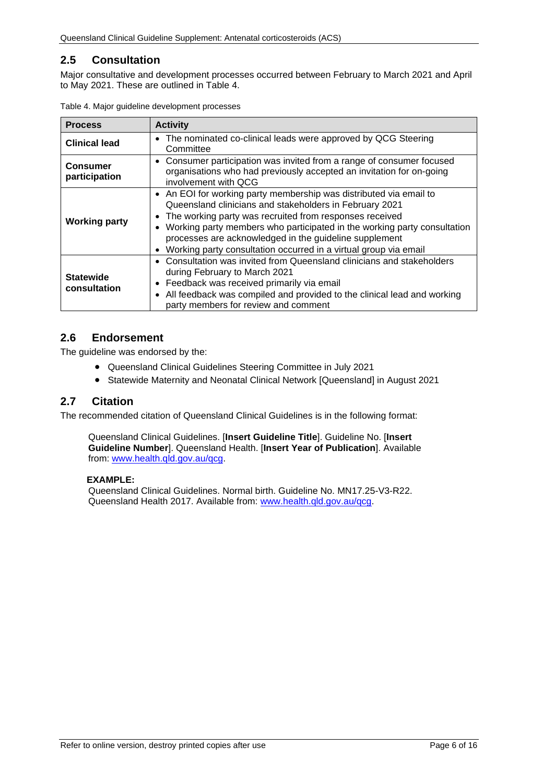# <span id="page-5-0"></span>**2.5 Consultation**

Major consultative and development processes occurred between February to March 2021 and April to May 2021. These are outlined in [Table 4.](#page-5-3)

| <b>Process</b>                   | <b>Activity</b>                                                                                                                                                                                                                                                                                                                                                                                                   |  |  |
|----------------------------------|-------------------------------------------------------------------------------------------------------------------------------------------------------------------------------------------------------------------------------------------------------------------------------------------------------------------------------------------------------------------------------------------------------------------|--|--|
| <b>Clinical lead</b>             | The nominated co-clinical leads were approved by QCG Steering<br>$\bullet$<br>Committee                                                                                                                                                                                                                                                                                                                           |  |  |
| <b>Consumer</b><br>participation | • Consumer participation was invited from a range of consumer focused<br>organisations who had previously accepted an invitation for on-going<br>involvement with QCG                                                                                                                                                                                                                                             |  |  |
| <b>Working party</b>             | • An EOI for working party membership was distributed via email to<br>Queensland clinicians and stakeholders in February 2021<br>The working party was recruited from responses received<br>• Working party members who participated in the working party consultation<br>processes are acknowledged in the guideline supplement<br>Working party consultation occurred in a virtual group via email<br>$\bullet$ |  |  |
| <b>Statewide</b><br>consultation | Consultation was invited from Queensland clinicians and stakeholders<br>$\bullet$<br>during February to March 2021<br>Feedback was received primarily via email<br>$\bullet$<br>All feedback was compiled and provided to the clinical lead and working<br>party members for review and comment                                                                                                                   |  |  |

<span id="page-5-3"></span>

| Table 4. Major guideline development processes |  |  |  |
|------------------------------------------------|--|--|--|
|------------------------------------------------|--|--|--|

## <span id="page-5-1"></span>**2.6 Endorsement**

The guideline was endorsed by the:

- Queensland Clinical Guidelines Steering Committee in July 2021
- Statewide Maternity and Neonatal Clinical Network [Queensland] in August 2021

## <span id="page-5-2"></span>**2.7 Citation**

The recommended citation of Queensland Clinical Guidelines is in the following format:

Queensland Clinical Guidelines. [**Insert Guideline Title**]. Guideline No. [**Insert Guideline Number**]. Queensland Health. [**Insert Year of Publication**]. Available from: [www.health.qld.gov.au/qcg.](http://www.health.qld.gov.au/qcg)

#### **EXAMPLE:**

Queensland Clinical Guidelines. Normal birth. Guideline No. MN17.25-V3-R22. Queensland Health 2017. Available from: [www.health.qld.gov.au/qcg.](http://www.health.qld.gov.au/qcg)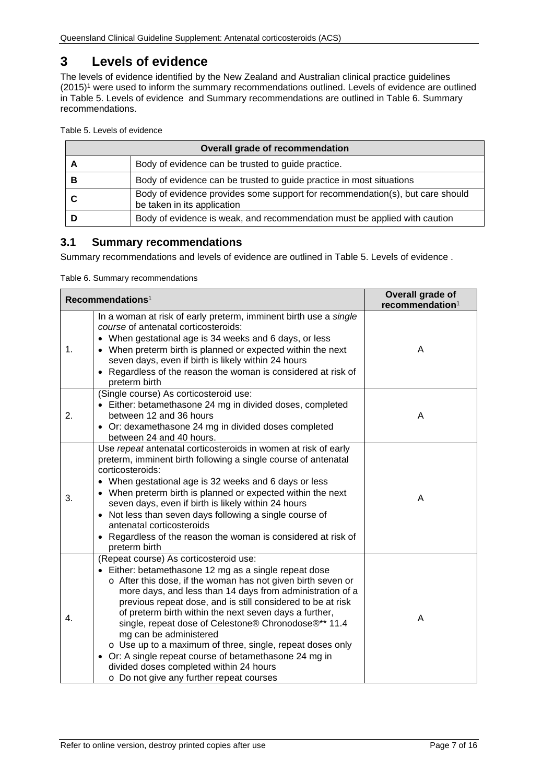# <span id="page-6-0"></span>**3 Levels of evidence**

The levels of evidence identified by the New Zealand and Australian clinical practice guidelines (2015)1 were used to inform the summary recommendations outlined. Levels of evidence are outlined in [Table 5. Levels of evidence](#page-6-2) and Summary recommendations are outlined in Table 6. [Summary](#page-6-3)  [recommendations.](#page-6-3)

<span id="page-6-2"></span>Table 5. Levels of evidence

| <b>Overall grade of recommendation</b> |                                                                                                              |  |
|----------------------------------------|--------------------------------------------------------------------------------------------------------------|--|
| Α                                      | Body of evidence can be trusted to guide practice.                                                           |  |
| в                                      | Body of evidence can be trusted to guide practice in most situations                                         |  |
|                                        | Body of evidence provides some support for recommendation(s), but care should<br>be taken in its application |  |
|                                        | Body of evidence is weak, and recommendation must be applied with caution                                    |  |

## <span id="page-6-1"></span>**3.1 Summary recommendations**

Summary recommendations and levels of evidence are outlined in [Table 5. Levels of evidence .](#page-6-2)

<span id="page-6-3"></span>Table 6. Summary recommendations

| Recommendations <sup>1</sup> |                                                                                                                                                                                                                                                                                                                                                                                                                                                                                                                                                                                                                                                       | Overall grade of<br>recommendation <sup>1</sup> |
|------------------------------|-------------------------------------------------------------------------------------------------------------------------------------------------------------------------------------------------------------------------------------------------------------------------------------------------------------------------------------------------------------------------------------------------------------------------------------------------------------------------------------------------------------------------------------------------------------------------------------------------------------------------------------------------------|-------------------------------------------------|
| 1.                           | In a woman at risk of early preterm, imminent birth use a single<br>course of antenatal corticosteroids:<br>• When gestational age is 34 weeks and 6 days, or less<br>• When preterm birth is planned or expected within the next<br>seven days, even if birth is likely within 24 hours<br>• Regardless of the reason the woman is considered at risk of<br>preterm birth                                                                                                                                                                                                                                                                            | A                                               |
| 2.                           | (Single course) As corticosteroid use:<br>• Either: betamethasone 24 mg in divided doses, completed<br>between 12 and 36 hours<br>• Or: dexamethasone 24 mg in divided doses completed<br>between 24 and 40 hours.                                                                                                                                                                                                                                                                                                                                                                                                                                    | A                                               |
| 3.                           | Use repeat antenatal corticosteroids in women at risk of early<br>preterm, imminent birth following a single course of antenatal<br>corticosteroids:<br>• When gestational age is 32 weeks and 6 days or less<br>• When preterm birth is planned or expected within the next<br>seven days, even if birth is likely within 24 hours<br>• Not less than seven days following a single course of<br>antenatal corticosteroids<br>Regardless of the reason the woman is considered at risk of<br>preterm birth                                                                                                                                           | A                                               |
| 4.                           | (Repeat course) As corticosteroid use:<br>• Either: betamethasone 12 mg as a single repeat dose<br>o After this dose, if the woman has not given birth seven or<br>more days, and less than 14 days from administration of a<br>previous repeat dose, and is still considered to be at risk<br>of preterm birth within the next seven days a further,<br>single, repeat dose of Celestone® Chronodose®** 11.4<br>mg can be administered<br>o Use up to a maximum of three, single, repeat doses only<br>• Or: A single repeat course of betamethasone 24 mg in<br>divided doses completed within 24 hours<br>o Do not give any further repeat courses | A                                               |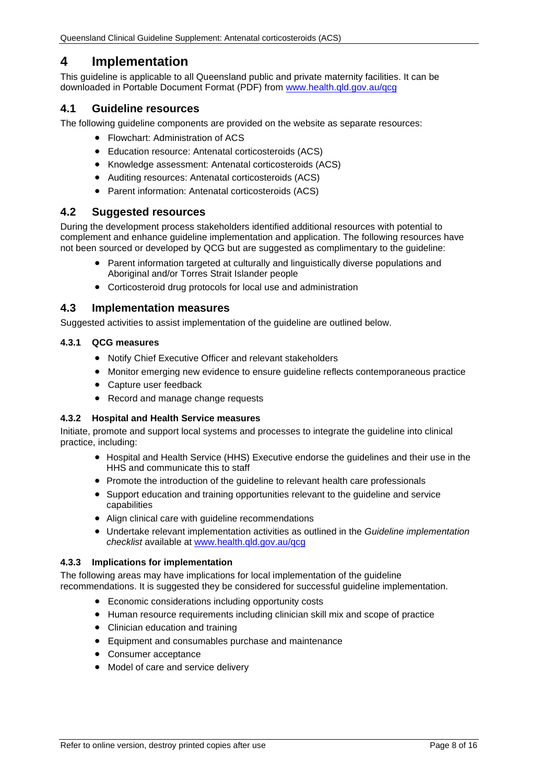# <span id="page-7-0"></span>**4 Implementation**

This guideline is applicable to all Queensland public and private maternity facilities. It can be downloaded in Portable Document Format (PDF) from [www.health.qld.gov.au/qcg](http://www.health.qld.gov.au/qcg)

## <span id="page-7-1"></span>**4.1 Guideline resources**

The following guideline components are provided on the website as separate resources:

- Flowchart: Administration of ACS
- Education resource: Antenatal corticosteroids (ACS)
- Knowledge assessment: Antenatal corticosteroids (ACS)
- Auditing resources: Antenatal corticosteroids (ACS)
- Parent information: Antenatal corticosteroids (ACS)

## <span id="page-7-2"></span>**4.2 Suggested resources**

During the development process stakeholders identified additional resources with potential to complement and enhance guideline implementation and application. The following resources have not been sourced or developed by QCG but are suggested as complimentary to the guideline:

- Parent information targeted at culturally and linguistically diverse populations and Aboriginal and/or Torres Strait Islander people
- Corticosteroid drug protocols for local use and administration

## <span id="page-7-3"></span>**4.3 Implementation measures**

Suggested activities to assist implementation of the guideline are outlined below.

#### <span id="page-7-4"></span>**4.3.1 QCG measures**

- Notify Chief Executive Officer and relevant stakeholders
- Monitor emerging new evidence to ensure guideline reflects contemporaneous practice
- Capture user feedback
- Record and manage change requests

#### <span id="page-7-5"></span>**4.3.2 Hospital and Health Service measures**

Initiate, promote and support local systems and processes to integrate the guideline into clinical practice, including:

- Hospital and Health Service (HHS) Executive endorse the guidelines and their use in the HHS and communicate this to staff
- Promote the introduction of the guideline to relevant health care professionals
- Support education and training opportunities relevant to the guideline and service capabilities
- Align clinical care with guideline recommendations
- Undertake relevant implementation activities as outlined in the *Guideline implementation checklist* available at [www.health.qld.gov.au/qcg](http://www.health.qld.gov.au/qcg)

#### <span id="page-7-6"></span>**4.3.3 Implications for implementation**

The following areas may have implications for local implementation of the guideline recommendations. It is suggested they be considered for successful guideline implementation.

- Economic considerations including opportunity costs
- Human resource requirements including clinician skill mix and scope of practice
- Clinician education and training
- Equipment and consumables purchase and maintenance
- Consumer acceptance
- Model of care and service delivery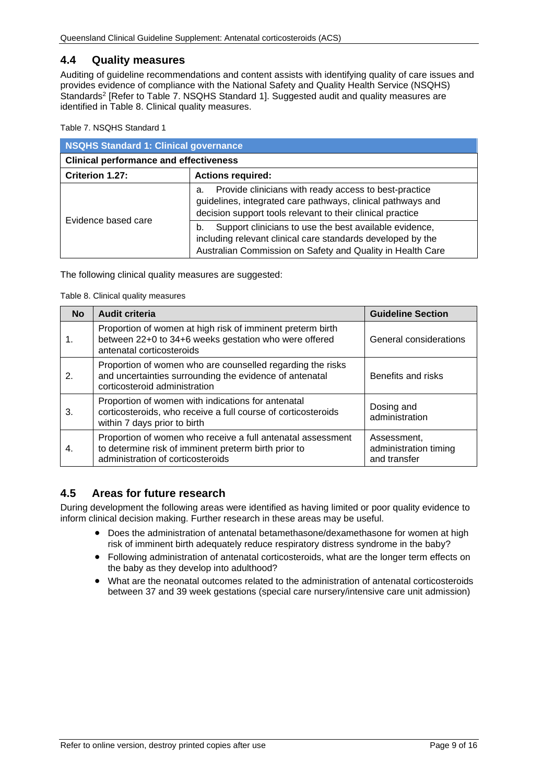## <span id="page-8-0"></span>**4.4 Quality measures**

Auditing of guideline recommendations and content assists with identifying quality of care issues and provides evidence of compliance with the National Safety and Quality Health Service (NSQHS) Standards<sup>2</sup> [Refer to Table 7. [NSQHS Standard 1\]](#page-8-2). Suggested audit and quality measures are identified in [Table 8. Clinical quality measures.](#page-8-3)

<span id="page-8-2"></span>Table 7. NSQHS Standard 1

| NSQHS Standard 1: Clinical governance         |                                                                                                                                                                                           |  |
|-----------------------------------------------|-------------------------------------------------------------------------------------------------------------------------------------------------------------------------------------------|--|
| <b>Clinical performance and effectiveness</b> |                                                                                                                                                                                           |  |
| Criterion 1.27:<br><b>Actions required:</b>   |                                                                                                                                                                                           |  |
| Evidence based care                           | Provide clinicians with ready access to best-practice<br>а.<br>guidelines, integrated care pathways, clinical pathways and<br>decision support tools relevant to their clinical practice  |  |
|                                               | Support clinicians to use the best available evidence,<br>b.<br>including relevant clinical care standards developed by the<br>Australian Commission on Safety and Quality in Health Care |  |

<span id="page-8-3"></span>The following clinical quality measures are suggested:

Table 8. Clinical quality measures

| <b>No</b> | <b>Audit criteria</b>                                                                                                                                    | <b>Guideline Section</b>                             |
|-----------|----------------------------------------------------------------------------------------------------------------------------------------------------------|------------------------------------------------------|
|           | Proportion of women at high risk of imminent preterm birth<br>between 22+0 to 34+6 weeks gestation who were offered<br>antenatal corticosteroids         | General considerations                               |
| 2.        | Proportion of women who are counselled regarding the risks<br>and uncertainties surrounding the evidence of antenatal<br>corticosteroid administration   | Benefits and risks                                   |
| 3.        | Proportion of women with indications for antenatal<br>corticosteroids, who receive a full course of corticosteroids<br>within 7 days prior to birth      | Dosing and<br>administration                         |
| 4.        | Proportion of women who receive a full antenatal assessment<br>to determine risk of imminent preterm birth prior to<br>administration of corticosteroids | Assessment,<br>administration timing<br>and transfer |

## <span id="page-8-1"></span>**4.5 Areas for future research**

During development the following areas were identified as having limited or poor quality evidence to inform clinical decision making. Further research in these areas may be useful.

- Does the administration of antenatal betamethasone/dexamethasone for women at high risk of imminent birth adequately reduce respiratory distress syndrome in the baby?
- Following administration of antenatal corticosteroids, what are the longer term effects on the baby as they develop into adulthood?
- What are the neonatal outcomes related to the administration of antenatal corticosteroids between 37 and 39 week gestations (special care nursery/intensive care unit admission)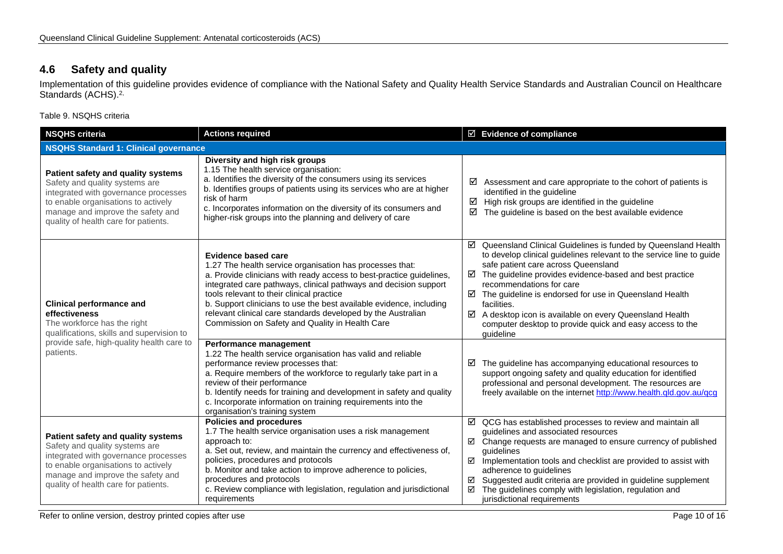# **4.6 Safety and quality**

Implementation of this guideline provides evidence of compliance with the National Safety and Quality Health Service Standards and Australian Council on Healthcare Standards (ACHS).<sup>2,</sup>

Table 9. NSQHS criteria

<span id="page-9-1"></span><span id="page-9-0"></span>

| <b>NSQHS criteria</b>                                                                                                                                                                                                            | <b>Actions required</b>                                                                                                                                                                                                                                                                                                                                                                                                                                                   | $\boxtimes$ Evidence of compliance                                                                                                                                                                                                                                                                                                                                                                                                                                                                          |  |  |
|----------------------------------------------------------------------------------------------------------------------------------------------------------------------------------------------------------------------------------|---------------------------------------------------------------------------------------------------------------------------------------------------------------------------------------------------------------------------------------------------------------------------------------------------------------------------------------------------------------------------------------------------------------------------------------------------------------------------|-------------------------------------------------------------------------------------------------------------------------------------------------------------------------------------------------------------------------------------------------------------------------------------------------------------------------------------------------------------------------------------------------------------------------------------------------------------------------------------------------------------|--|--|
| <b>NSQHS Standard 1: Clinical governance</b>                                                                                                                                                                                     |                                                                                                                                                                                                                                                                                                                                                                                                                                                                           |                                                                                                                                                                                                                                                                                                                                                                                                                                                                                                             |  |  |
| Patient safety and quality systems<br>Safety and quality systems are<br>integrated with governance processes<br>to enable organisations to actively<br>manage and improve the safety and<br>quality of health care for patients. | Diversity and high risk groups<br>1.15 The health service organisation:<br>a. Identifies the diversity of the consumers using its services<br>b. Identifies groups of patients using its services who are at higher<br>risk of harm<br>c. Incorporates information on the diversity of its consumers and<br>higher-risk groups into the planning and delivery of care                                                                                                     | Assessment and care appropriate to the cohort of patients is<br>☑<br>identified in the guideline<br>High risk groups are identified in the guideline<br>☑<br>The guideline is based on the best available evidence<br>☑                                                                                                                                                                                                                                                                                     |  |  |
| <b>Clinical performance and</b><br>effectiveness<br>The workforce has the right<br>qualifications, skills and supervision to                                                                                                     | <b>Evidence based care</b><br>1.27 The health service organisation has processes that:<br>a. Provide clinicians with ready access to best-practice guidelines,<br>integrated care pathways, clinical pathways and decision support<br>tools relevant to their clinical practice<br>b. Support clinicians to use the best available evidence, including<br>relevant clinical care standards developed by the Australian<br>Commission on Safety and Quality in Health Care | ☑ Queensland Clinical Guidelines is funded by Queensland Health<br>to develop clinical guidelines relevant to the service line to guide<br>safe patient care across Queensland<br>$\boxtimes$ The guideline provides evidence-based and best practice<br>recommendations for care<br>$\boxtimes$ The guideline is endorsed for use in Queensland Health<br>facilities.<br>☑ A desktop icon is available on every Queensland Health<br>computer desktop to provide quick and easy access to the<br>quideline |  |  |
| provide safe, high-quality health care to<br>patients.                                                                                                                                                                           | Performance management<br>1.22 The health service organisation has valid and reliable<br>performance review processes that:<br>a. Require members of the workforce to regularly take part in a<br>review of their performance<br>b. Identify needs for training and development in safety and quality<br>c. Incorporate information on training requirements into the<br>organisation's training system                                                                   | The guideline has accompanying educational resources to<br>☑<br>support ongoing safety and quality education for identified<br>professional and personal development. The resources are<br>freely available on the internet http://www.health.qld.gov.au/qcg                                                                                                                                                                                                                                                |  |  |
| Patient safety and quality systems<br>Safety and quality systems are<br>integrated with governance processes<br>to enable organisations to actively<br>manage and improve the safety and<br>quality of health care for patients. | <b>Policies and procedures</b><br>1.7 The health service organisation uses a risk management<br>approach to:<br>a. Set out, review, and maintain the currency and effectiveness of,<br>policies, procedures and protocols<br>b. Monitor and take action to improve adherence to policies,<br>procedures and protocols<br>c. Review compliance with legislation, regulation and jurisdictional<br>requirements                                                             | $\boxtimes$ QCG has established processes to review and maintain all<br>guidelines and associated resources<br>☑ Change requests are managed to ensure currency of published<br>quidelines<br>Implementation tools and checklist are provided to assist with<br>☑<br>adherence to guidelines<br>Suggested audit criteria are provided in guideline supplement<br>☑<br>The guidelines comply with legislation, regulation and<br>☑<br>jurisdictional requirements                                            |  |  |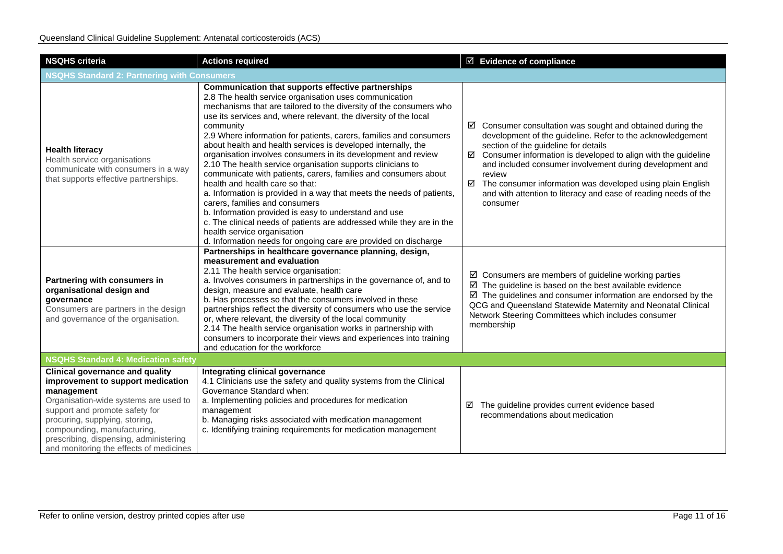| <b>NSQHS criteria</b>                                                                                                                                                                                                                                                                                                      | <b>Actions required</b>                                                                                                                                                                                                                                                                                                                                                                                                                                                                                                                                                                                                                                                                                                                                                                                                                                                                                                                                                                         | $\boxtimes$ Evidence of compliance                                                                                                                                                                                                                                                                                                                                                                                                                                                     |  |  |  |
|----------------------------------------------------------------------------------------------------------------------------------------------------------------------------------------------------------------------------------------------------------------------------------------------------------------------------|-------------------------------------------------------------------------------------------------------------------------------------------------------------------------------------------------------------------------------------------------------------------------------------------------------------------------------------------------------------------------------------------------------------------------------------------------------------------------------------------------------------------------------------------------------------------------------------------------------------------------------------------------------------------------------------------------------------------------------------------------------------------------------------------------------------------------------------------------------------------------------------------------------------------------------------------------------------------------------------------------|----------------------------------------------------------------------------------------------------------------------------------------------------------------------------------------------------------------------------------------------------------------------------------------------------------------------------------------------------------------------------------------------------------------------------------------------------------------------------------------|--|--|--|
| <b>NSQHS Standard 2: Partnering with Consumers</b>                                                                                                                                                                                                                                                                         |                                                                                                                                                                                                                                                                                                                                                                                                                                                                                                                                                                                                                                                                                                                                                                                                                                                                                                                                                                                                 |                                                                                                                                                                                                                                                                                                                                                                                                                                                                                        |  |  |  |
| <b>Health literacy</b><br>Health service organisations<br>communicate with consumers in a way<br>that supports effective partnerships.                                                                                                                                                                                     | Communication that supports effective partnerships<br>2.8 The health service organisation uses communication<br>mechanisms that are tailored to the diversity of the consumers who<br>use its services and, where relevant, the diversity of the local<br>community<br>2.9 Where information for patients, carers, families and consumers<br>about health and health services is developed internally, the<br>organisation involves consumers in its development and review<br>2.10 The health service organisation supports clinicians to<br>communicate with patients, carers, families and consumers about<br>health and health care so that:<br>a. Information is provided in a way that meets the needs of patients,<br>carers, families and consumers<br>b. Information provided is easy to understand and use<br>c. The clinical needs of patients are addressed while they are in the<br>health service organisation<br>d. Information needs for ongoing care are provided on discharge | $\boxtimes$ Consumer consultation was sought and obtained during the<br>development of the guideline. Refer to the acknowledgement<br>section of the guideline for details<br>$\boxtimes$ Consumer information is developed to align with the guideline<br>and included consumer involvement during development and<br>review<br>$\boxtimes$ The consumer information was developed using plain English<br>and with attention to literacy and ease of reading needs of the<br>consumer |  |  |  |
| Partnering with consumers in<br>organisational design and<br>qovernance<br>Consumers are partners in the design<br>and governance of the organisation.                                                                                                                                                                     | Partnerships in healthcare governance planning, design,<br>measurement and evaluation<br>2.11 The health service organisation:<br>a. Involves consumers in partnerships in the governance of, and to<br>design, measure and evaluate, health care<br>b. Has processes so that the consumers involved in these<br>partnerships reflect the diversity of consumers who use the service<br>or, where relevant, the diversity of the local community<br>2.14 The health service organisation works in partnership with<br>consumers to incorporate their views and experiences into training<br>and education for the workforce                                                                                                                                                                                                                                                                                                                                                                     | $\boxtimes$ Consumers are members of guideline working parties<br>$\boxtimes$ The guideline is based on the best available evidence<br>$\boxtimes$ The guidelines and consumer information are endorsed by the<br>QCG and Queensland Statewide Maternity and Neonatal Clinical<br>Network Steering Committees which includes consumer<br>membership                                                                                                                                    |  |  |  |
| <b>NSQHS Standard 4: Medication safety</b>                                                                                                                                                                                                                                                                                 |                                                                                                                                                                                                                                                                                                                                                                                                                                                                                                                                                                                                                                                                                                                                                                                                                                                                                                                                                                                                 |                                                                                                                                                                                                                                                                                                                                                                                                                                                                                        |  |  |  |
| <b>Clinical governance and quality</b><br>improvement to support medication<br>management<br>Organisation-wide systems are used to<br>support and promote safety for<br>procuring, supplying, storing,<br>compounding, manufacturing,<br>prescribing, dispensing, administering<br>and monitoring the effects of medicines | Integrating clinical governance<br>4.1 Clinicians use the safety and quality systems from the Clinical<br>Governance Standard when:<br>a. Implementing policies and procedures for medication<br>management<br>b. Managing risks associated with medication management<br>c. Identifying training requirements for medication management                                                                                                                                                                                                                                                                                                                                                                                                                                                                                                                                                                                                                                                        | The guideline provides current evidence based<br>☑<br>recommendations about medication                                                                                                                                                                                                                                                                                                                                                                                                 |  |  |  |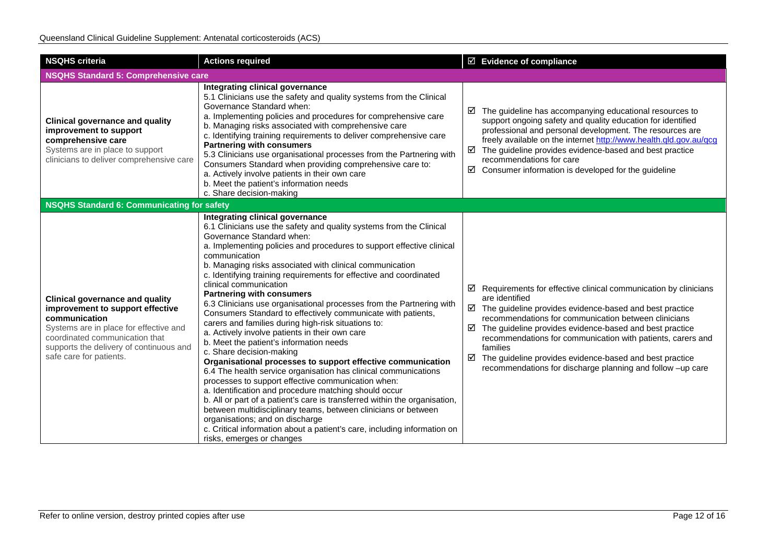| <b>NSQHS criteria</b>                                                                                                                                                                                                                         | <b>Actions required</b>                                                                                                                                                                                                                                                                                                                                                                                                                                                                                                                                                                                                                                                                                                                                                                                                                                                                                                                                                                                                                                                                                                                                                                                                                                                                            | $\boxtimes$ Evidence of compliance                                                                                                                                                                                                                                                                                                                                                                                                                                                                                  |
|-----------------------------------------------------------------------------------------------------------------------------------------------------------------------------------------------------------------------------------------------|----------------------------------------------------------------------------------------------------------------------------------------------------------------------------------------------------------------------------------------------------------------------------------------------------------------------------------------------------------------------------------------------------------------------------------------------------------------------------------------------------------------------------------------------------------------------------------------------------------------------------------------------------------------------------------------------------------------------------------------------------------------------------------------------------------------------------------------------------------------------------------------------------------------------------------------------------------------------------------------------------------------------------------------------------------------------------------------------------------------------------------------------------------------------------------------------------------------------------------------------------------------------------------------------------|---------------------------------------------------------------------------------------------------------------------------------------------------------------------------------------------------------------------------------------------------------------------------------------------------------------------------------------------------------------------------------------------------------------------------------------------------------------------------------------------------------------------|
| <b>NSQHS Standard 5: Comprehensive care</b>                                                                                                                                                                                                   |                                                                                                                                                                                                                                                                                                                                                                                                                                                                                                                                                                                                                                                                                                                                                                                                                                                                                                                                                                                                                                                                                                                                                                                                                                                                                                    |                                                                                                                                                                                                                                                                                                                                                                                                                                                                                                                     |
| <b>Clinical governance and quality</b><br>improvement to support<br>comprehensive care<br>Systems are in place to support<br>clinicians to deliver comprehensive care                                                                         | Integrating clinical governance<br>5.1 Clinicians use the safety and quality systems from the Clinical<br>Governance Standard when:<br>a. Implementing policies and procedures for comprehensive care<br>b. Managing risks associated with comprehensive care<br>c. Identifying training requirements to deliver comprehensive care<br><b>Partnering with consumers</b><br>5.3 Clinicians use organisational processes from the Partnering with<br>Consumers Standard when providing comprehensive care to:<br>a. Actively involve patients in their own care<br>b. Meet the patient's information needs<br>c. Share decision-making                                                                                                                                                                                                                                                                                                                                                                                                                                                                                                                                                                                                                                                               | $\boxtimes$ The guideline has accompanying educational resources to<br>support ongoing safety and quality education for identified<br>professional and personal development. The resources are<br>freely available on the internet http://www.health.qld.gov.au/qcg<br>$\boxtimes$ The guideline provides evidence-based and best practice<br>recommendations for care<br>$\boxtimes$ Consumer information is developed for the guideline                                                                           |
| <b>NSQHS Standard 6: Communicating for safety</b>                                                                                                                                                                                             |                                                                                                                                                                                                                                                                                                                                                                                                                                                                                                                                                                                                                                                                                                                                                                                                                                                                                                                                                                                                                                                                                                                                                                                                                                                                                                    |                                                                                                                                                                                                                                                                                                                                                                                                                                                                                                                     |
| <b>Clinical governance and quality</b><br>improvement to support effective<br>communication<br>Systems are in place for effective and<br>coordinated communication that<br>supports the delivery of continuous and<br>safe care for patients. | Integrating clinical governance<br>6.1 Clinicians use the safety and quality systems from the Clinical<br>Governance Standard when:<br>a. Implementing policies and procedures to support effective clinical<br>communication<br>b. Managing risks associated with clinical communication<br>c. Identifying training requirements for effective and coordinated<br>clinical communication<br><b>Partnering with consumers</b><br>6.3 Clinicians use organisational processes from the Partnering with<br>Consumers Standard to effectively communicate with patients,<br>carers and families during high-risk situations to:<br>a. Actively involve patients in their own care<br>b. Meet the patient's information needs<br>c. Share decision-making<br>Organisational processes to support effective communication<br>6.4 The health service organisation has clinical communications<br>processes to support effective communication when:<br>a. Identification and procedure matching should occur<br>b. All or part of a patient's care is transferred within the organisation,<br>between multidisciplinary teams, between clinicians or between<br>organisations; and on discharge<br>c. Critical information about a patient's care, including information on<br>risks, emerges or changes | $\boxtimes$ Requirements for effective clinical communication by clinicians<br>are identified<br>$\boxtimes$ The guideline provides evidence-based and best practice<br>recommendations for communication between clinicians<br>$\boxtimes$ The guideline provides evidence-based and best practice<br>recommendations for communication with patients, carers and<br>families<br>$\boxtimes$ The guideline provides evidence-based and best practice<br>recommendations for discharge planning and follow -up care |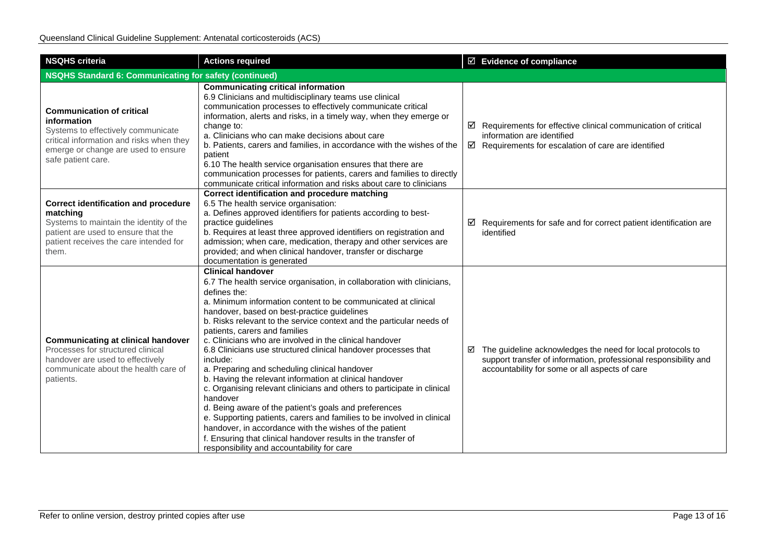| <b>NSQHS criteria</b>                                                                                                                                                                          | <b>Actions required</b>                                                                                                                                                                                                                                                                                                                                                                                                                                                                                                                                                                                                                                                                                                                                                                                                                                                                                                                                                                             |  | $\boxtimes$ Evidence of compliance                                                                                                                                                 |  |  |
|------------------------------------------------------------------------------------------------------------------------------------------------------------------------------------------------|-----------------------------------------------------------------------------------------------------------------------------------------------------------------------------------------------------------------------------------------------------------------------------------------------------------------------------------------------------------------------------------------------------------------------------------------------------------------------------------------------------------------------------------------------------------------------------------------------------------------------------------------------------------------------------------------------------------------------------------------------------------------------------------------------------------------------------------------------------------------------------------------------------------------------------------------------------------------------------------------------------|--|------------------------------------------------------------------------------------------------------------------------------------------------------------------------------------|--|--|
| <b>NSQHS Standard 6: Communicating for safety (continued)</b>                                                                                                                                  |                                                                                                                                                                                                                                                                                                                                                                                                                                                                                                                                                                                                                                                                                                                                                                                                                                                                                                                                                                                                     |  |                                                                                                                                                                                    |  |  |
| <b>Communication of critical</b><br>information<br>Systems to effectively communicate<br>critical information and risks when they<br>emerge or change are used to ensure<br>safe patient care. | <b>Communicating critical information</b><br>6.9 Clinicians and multidisciplinary teams use clinical<br>communication processes to effectively communicate critical<br>information, alerts and risks, in a timely way, when they emerge or<br>change to:<br>a. Clinicians who can make decisions about care<br>b. Patients, carers and families, in accordance with the wishes of the<br>patient<br>6.10 The health service organisation ensures that there are<br>communication processes for patients, carers and families to directly<br>communicate critical information and risks about care to clinicians                                                                                                                                                                                                                                                                                                                                                                                     |  | $\boxtimes$ Requirements for effective clinical communication of critical<br>information are identified<br>$\boxtimes$ Requirements for escalation of care are identified          |  |  |
| <b>Correct identification and procedure</b><br>matching<br>Systems to maintain the identity of the<br>patient are used to ensure that the<br>patient receives the care intended for<br>them.   | Correct identification and procedure matching<br>6.5 The health service organisation:<br>a. Defines approved identifiers for patients according to best-<br>practice guidelines<br>b. Requires at least three approved identifiers on registration and<br>admission; when care, medication, therapy and other services are<br>provided; and when clinical handover, transfer or discharge<br>documentation is generated                                                                                                                                                                                                                                                                                                                                                                                                                                                                                                                                                                             |  | $\boxtimes$ Requirements for safe and for correct patient identification are<br>identified                                                                                         |  |  |
| <b>Communicating at clinical handover</b><br>Processes for structured clinical<br>handover are used to effectively<br>communicate about the health care of<br>patients.                        | <b>Clinical handover</b><br>6.7 The health service organisation, in collaboration with clinicians,<br>defines the:<br>a. Minimum information content to be communicated at clinical<br>handover, based on best-practice guidelines<br>b. Risks relevant to the service context and the particular needs of<br>patients, carers and families<br>c. Clinicians who are involved in the clinical handover<br>6.8 Clinicians use structured clinical handover processes that<br>include:<br>a. Preparing and scheduling clinical handover<br>b. Having the relevant information at clinical handover<br>c. Organising relevant clinicians and others to participate in clinical<br>handover<br>d. Being aware of the patient's goals and preferences<br>e. Supporting patients, carers and families to be involved in clinical<br>handover, in accordance with the wishes of the patient<br>f. Ensuring that clinical handover results in the transfer of<br>responsibility and accountability for care |  | ☑ The guideline acknowledges the need for local protocols to<br>support transfer of information, professional responsibility and<br>accountability for some or all aspects of care |  |  |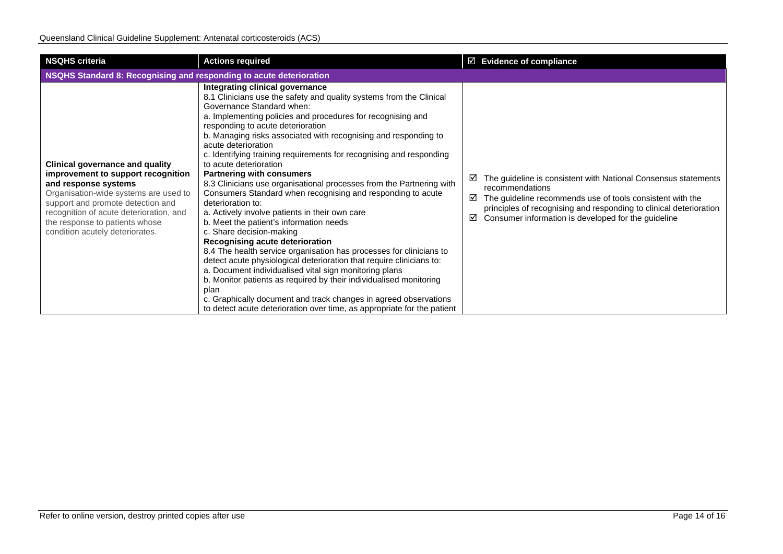| <b>NSQHS criteria</b>                                                                                                                                                                                                                                                                              | <b>Actions required</b>                                                                                                                                                                                                                                                                                                                                                                                                                                                                                                                                                                                                                                                                                                                                                                                                                                                                                                                                                                                                                                                                                                                                                                                                              | $\boxtimes$ Evidence of compliance                                                                                                                                                                                                                                                         |  |  |  |
|----------------------------------------------------------------------------------------------------------------------------------------------------------------------------------------------------------------------------------------------------------------------------------------------------|--------------------------------------------------------------------------------------------------------------------------------------------------------------------------------------------------------------------------------------------------------------------------------------------------------------------------------------------------------------------------------------------------------------------------------------------------------------------------------------------------------------------------------------------------------------------------------------------------------------------------------------------------------------------------------------------------------------------------------------------------------------------------------------------------------------------------------------------------------------------------------------------------------------------------------------------------------------------------------------------------------------------------------------------------------------------------------------------------------------------------------------------------------------------------------------------------------------------------------------|--------------------------------------------------------------------------------------------------------------------------------------------------------------------------------------------------------------------------------------------------------------------------------------------|--|--|--|
| NSQHS Standard 8: Recognising and responding to acute deterioration                                                                                                                                                                                                                                |                                                                                                                                                                                                                                                                                                                                                                                                                                                                                                                                                                                                                                                                                                                                                                                                                                                                                                                                                                                                                                                                                                                                                                                                                                      |                                                                                                                                                                                                                                                                                            |  |  |  |
| <b>Clinical governance and quality</b><br>improvement to support recognition<br>and response systems<br>Organisation-wide systems are used to<br>support and promote detection and<br>recognition of acute deterioration, and<br>the response to patients whose<br>condition acutely deteriorates. | Integrating clinical governance<br>8.1 Clinicians use the safety and quality systems from the Clinical<br>Governance Standard when:<br>a. Implementing policies and procedures for recognising and<br>responding to acute deterioration<br>b. Managing risks associated with recognising and responding to<br>acute deterioration<br>c. Identifying training requirements for recognising and responding<br>to acute deterioration<br><b>Partnering with consumers</b><br>8.3 Clinicians use organisational processes from the Partnering with<br>Consumers Standard when recognising and responding to acute<br>deterioration to:<br>a. Actively involve patients in their own care<br>b. Meet the patient's information needs<br>c. Share decision-making<br>Recognising acute deterioration<br>8.4 The health service organisation has processes for clinicians to<br>detect acute physiological deterioration that require clinicians to:<br>a. Document individualised vital sign monitoring plans<br>b. Monitor patients as required by their individualised monitoring<br>plan<br>c. Graphically document and track changes in agreed observations<br>to detect acute deterioration over time, as appropriate for the patient | The guideline is consistent with National Consensus statements<br>⊻<br>recommendations<br>The guideline recommends use of tools consistent with the<br>☑<br>principles of recognising and responding to clinical deterioration<br>Consumer information is developed for the guideline<br>☑ |  |  |  |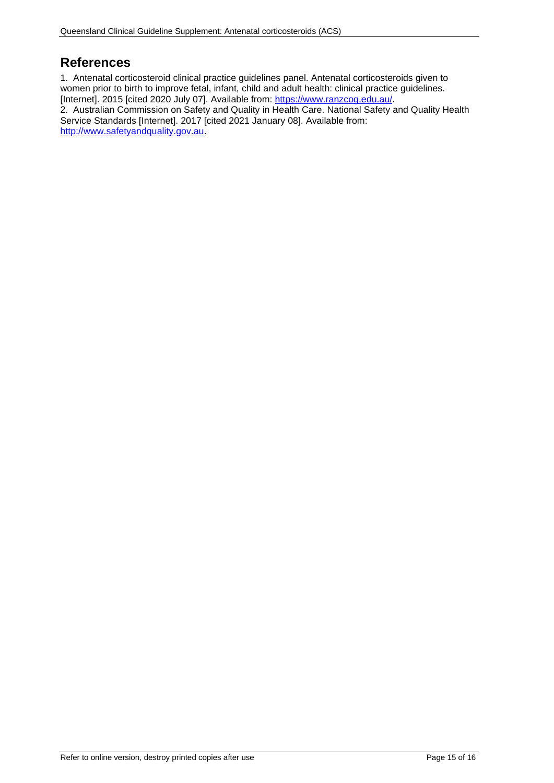# <span id="page-14-0"></span>**References**

1. Antenatal corticosteroid clinical practice guidelines panel. Antenatal corticosteroids given to women prior to birth to improve fetal, infant, child and adult health: clinical practice guidelines. [Internet]. 2015 [cited 2020 July 07]. Available from: [https://www.ranzcog.edu.au/.](https://www.ranzcog.edu.au/) 2. Australian Commission on Safety and Quality in Health Care. National Safety and Quality Health Service Standards [Internet]. 2017 [cited 2021 January 08]. Available from: [http://www.safetyandquality.gov.au.](http://www.safetyandquality.gov.au/)